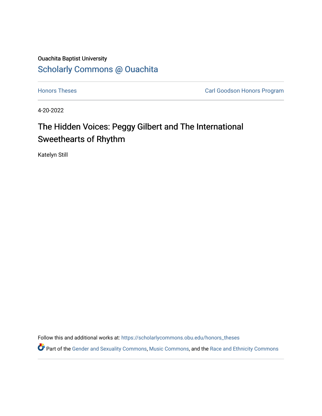## Ouachita Baptist University [Scholarly Commons @ Ouachita](https://scholarlycommons.obu.edu/)

**[Honors Theses](https://scholarlycommons.obu.edu/honors_theses) Carl Goodson Honors Program** 

4-20-2022

# The Hidden Voices: Peggy Gilbert and The International Sweethearts of Rhythm

Katelyn Still

Follow this and additional works at: [https://scholarlycommons.obu.edu/honors\\_theses](https://scholarlycommons.obu.edu/honors_theses?utm_source=scholarlycommons.obu.edu%2Fhonors_theses%2F840&utm_medium=PDF&utm_campaign=PDFCoverPages) 

Part of the [Gender and Sexuality Commons](http://network.bepress.com/hgg/discipline/420?utm_source=scholarlycommons.obu.edu%2Fhonors_theses%2F840&utm_medium=PDF&utm_campaign=PDFCoverPages), [Music Commons](http://network.bepress.com/hgg/discipline/518?utm_source=scholarlycommons.obu.edu%2Fhonors_theses%2F840&utm_medium=PDF&utm_campaign=PDFCoverPages), and the [Race and Ethnicity Commons](http://network.bepress.com/hgg/discipline/426?utm_source=scholarlycommons.obu.edu%2Fhonors_theses%2F840&utm_medium=PDF&utm_campaign=PDFCoverPages)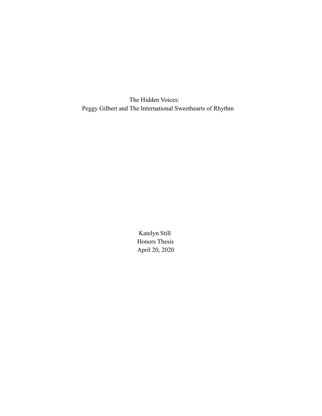The Hidden Voices: Peggy Gilbert and The International Sweethearts of Rhythm

> Katelyn Still Honors Thesis April 20, 2020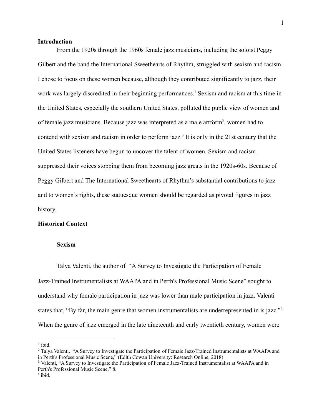#### **Introduction**

From the 1920s through the 1960s female jazz musicians, including the soloist Peggy Gilbert and the band the International Sweethearts of Rhythm, struggled with sexism and racism. I chose to focus on these women because, although they contributed significantly to jazz, their work was largely discredited in their beginning performances.<sup>1</sup> Sexism and racism at this time in the United States, especially the southern United States, polluted the public view of women and of female jazz musicians. Because jazz was interpreted as a male artform<sup>2</sup>, women had to contend with sexism and racism in order to perform jazz.<sup>3</sup> It is only in the 21st century that the United States listeners have begun to uncover the talent of women. Sexism and racism suppressed their voices stopping them from becoming jazz greats in the 1920s-60s. Because of Peggy Gilbert and The International Sweethearts of Rhythm's substantial contributions to jazz and to women's rights, these statuesque women should be regarded as pivotal figures in jazz history.

#### **Historical Context**

#### **Sexism**

Talya Valenti, the author of "A Survey to Investigate the Participation of Female Jazz-Trained Instrumentalists at WAAPA and in Perth's Professional Music Scene" sought to understand why female participation in jazz was lower than male participation in jazz. Valenti states that, "By far, the main genre that women instrumentalists are underrepresented in is jazz."<sup>4</sup> When the genre of jazz emerged in the late nineteenth and early twentieth century, women were

 $<sup>1</sup>$  ibid.</sup>

<sup>&</sup>lt;sup>2</sup> Talya Valenti, "A Survey to Investigate the Participation of Female Jazz-Trained Instrumentalists at WAAPA and in Perth's Professional Music Scene," (Edith Cowan University: Research Online, 2018)

<sup>3</sup> Valenti, "A Survey to Investigate the Participation of Female Jazz-Trained Instrumentalist at WAAPA and in Perth's Professional Music Scene," 8.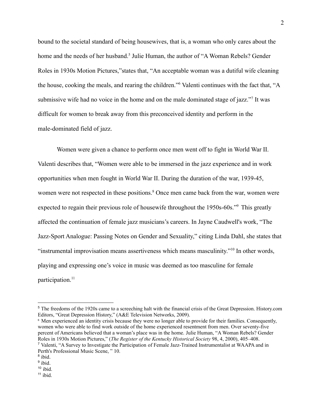bound to the societal standard of being housewives, that is, a woman who only cares about the home and the needs of her husband.<sup>5</sup> Julie Human, the author of "A Woman Rebels? Gender Roles in 1930s Motion Pictures,"states that, "An acceptable woman was a dutiful wife cleaning the house, cooking the meals, and rearing the children."<sup>6</sup> Valenti continues with the fact that, "A submissive wife had no voice in the home and on the male dominated stage of jazz."<sup>7</sup> It was difficult for women to break away from this preconceived identity and perform in the male-dominated field of jazz.

Women were given a chance to perform once men went off to fight in World War II. Valenti describes that, "Women were able to be immersed in the jazz experience and in work opportunities when men fought in World War II. During the duration of the war, 1939-45, women were not respected in these positions.<sup>8</sup> Once men came back from the war, women were expected to regain their previous role of housewife throughout the 1950s-60s.<sup>"9</sup> This greatly affected the continuation of female jazz musicians's careers. In Jayne Caudwell's work, "The Jazz-Sport Analogue: Passing Notes on Gender and Sexuality," citing Linda Dahl, she states that "instrumental improvisation means assertiveness which means masculinity."<sup>10</sup> In other words, playing and expressing one's voice in music was deemed as too masculine for female participation.<sup>11</sup>

<sup>7</sup> Valenti, "A Survey to Investigate the Participation of Female Jazz-Trained Instrumentalist at WAAPA and in Perth's Professional Music Scene, " 10. <sup>6</sup> Men experienced an identity crisis because they were no longer able to provide for their families. Consequently, women who were able to find work outside of the home experienced resentment from men. Over seventy-five percent of Americans believed that a woman's place was in the home. Julie Human, "A Woman Rebels? Gender Roles in 1930s Motion Pictures," (*The Register of the Kentucky Historical Society* 98, 4, 2000), 405–408.

<sup>5</sup> The freedoms of the 1920s came to a screeching halt with the financial crisis of the Great Depression. History.com Editors, "Great Depression History," (A&E Television Networks, 2009).

<sup>&</sup>lt;sup>8</sup> ibid.

<sup>&</sup>lt;sup>9</sup> ibid.

 $10$  ibid.

 $11$  ibid.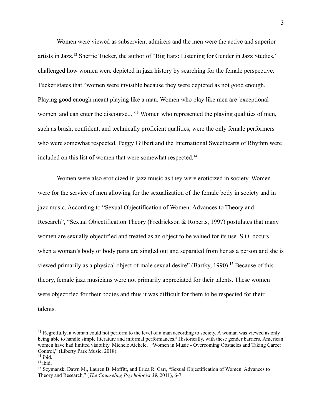Women were viewed as subservient admirers and the men were the active and superior artists in Jazz.<sup>12</sup> Sherrie Tucker, the author of "Big Ears: Listening for Gender in Jazz Studies," challenged how women were depicted in jazz history by searching for the female perspective. Tucker states that "women were invisible because they were depicted as not good enough. Playing good enough meant playing like a man. Women who play like men are 'exceptional women' and can enter the discourse..."<sup>13</sup> Women who represented the playing qualities of men, such as brash, confident, and technically proficient qualities, were the only female performers who were somewhat respected. Peggy Gilbert and the International Sweethearts of Rhythm were included on this list of women that were somewhat respected.<sup>14</sup>

Women were also eroticized in jazz music as they were eroticized in society. Women were for the service of men allowing for the sexualization of the female body in society and in jazz music. According to "Sexual Objectification of Women: Advances to Theory and Research", "Sexual Objectification Theory (Fredrickson & Roberts, 1997) postulates that many women are sexually objectified and treated as an object to be valued for its use. S.O. occurs when a woman's body or body parts are singled out and separated from her as a person and she is viewed primarily as a physical object of male sexual desire" (Bartky, 1990).<sup>15</sup> Because of this theory, female jazz musicians were not primarily appreciated for their talents. These women were objectified for their bodies and thus it was difficult for them to be respected for their talents.

<sup>&</sup>lt;sup>12</sup> Regretfully, a woman could not perform to the level of a man according to society. A woman was viewed as only being able to handle simple literature and informal performances.<sup>#</sup> Historically, with these gender barriers, American women have had limited visibility. Michele Aichele, "Women in Music - Overcoming Obstacles and Taking Career Control," (Liberty Park Music, 2018).

 $13$  ibid.

 $14$  ibid.

<sup>15</sup> Szymansk, Dawn M., Lauren B. Moffitt, and Erica R. Carr, "Sexual Objectification of Women: Advances to Theory and Research," (*The Counseling Psychologist 39,* 2011), 6-7.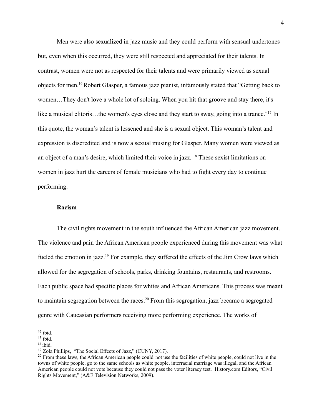Men were also sexualized in jazz music and they could perform with sensual undertones but, even when this occurred, they were still respected and appreciated for their talents. In contrast, women were not as respected for their talents and were primarily viewed as sexual objects for men.<sup>16</sup>Robert Glasper, a famous jazz pianist, infamously stated that "Getting back to women…They don't love a whole lot of soloing. When you hit that groove and stay there, it's like a musical clitoris...the women's eyes close and they start to sway, going into a trance."<sup>17</sup> In this quote, the woman's talent is lessened and she is a sexual object. This woman's talent and expression is discredited and is now a sexual musing for Glasper. Many women were viewed as an object of a man's desire, which limited their voice in jazz. <sup>18</sup> These sexist limitations on women in jazz hurt the careers of female musicians who had to fight every day to continue performing.

#### **Racism**

The civil rights movement in the south influenced the African American jazz movement. The violence and pain the African American people experienced during this movement was what fueled the emotion in jazz.<sup>19</sup> For example, they suffered the effects of the Jim Crow laws which allowed for the segregation of schools, parks, drinking fountains, restaurants, and restrooms. Each public space had specific places for whites and African Americans. This process was meant to maintain segregation between the races.<sup>20</sup> From this segregation, jazz became a segregated genre with Caucasian performers receiving more performing experience. The works of

 $16$  ibid.

 $17$  ibid.

 $18$  ibid.

<sup>19</sup> Zola Phillips, "The Social Effects of Jazz," (CUNY, 2017).

<sup>&</sup>lt;sup>20</sup> From these laws, the African American people could not use the facilities of white people, could not live in the towns of white people, go to the same schools as white people, interracial marriage was illegal, and the African American people could not vote because they could not pass the voter literacy test. History.com Editors, "Civil Rights Movement," (A&E Television Networks, 2009).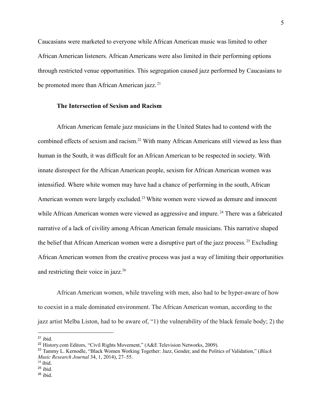Caucasians were marketed to everyone while African American music was limited to other African American listeners. African Americans were also limited in their performing options through restricted venue opportunities. This segregation caused jazz performed by Caucasians to be promoted more than African American jazz.<sup>21</sup>

#### **The Intersection of Sexism and Racism**

African American female jazz musicians in the United States had to contend with the combined effects of sexism and racism.<sup>22</sup> With many African Americans still viewed as less than human in the South, it was difficult for an African American to be respected in society. With innate disrespect for the African American people, sexism for African American women was intensified. Where white women may have had a chance of performing in the south, African American women were largely excluded.<sup>23</sup> White women were viewed as demure and innocent while African American women were viewed as aggressive and impure.<sup>24</sup> There was a fabricated narrative of a lack of civility among African American female musicians. This narrative shaped the belief that African American women were a disruptive part of the jazz process.<sup>25</sup> Excluding African American women from the creative process was just a way of limiting their opportunities and restricting their voice in jazz. $26$ 

African American women, while traveling with men, also had to be hyper-aware of how to coexist in a male dominated environment. The African American woman, according to the jazz artist Melba Liston, had to be aware of, "1) the vulnerability of the black female body; 2) the

 $21$  ibid.

<sup>&</sup>lt;sup>22</sup> History.com Editors, "Civil Rights Movement," (A&E Television Networks, 2009).

<sup>23</sup> Tammy L. Kernodle, "Black Women Working Together: Jazz, Gender, and the Politics of Validation," (*Black Music Research Journal* 34, 1, 2014), 27–55.

 $24$  ibid.

 $25$  ibid.

 $26$  ibid.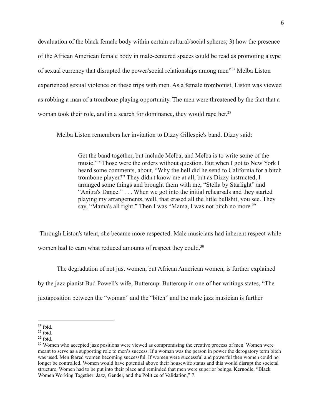devaluation of the black female body within certain cultural/social spheres; 3) how the presence of the African American female body in male-centered spaces could be read as promoting a type of sexual currency that disrupted the power/social relationships among men"<sup>27</sup> Melba Liston experienced sexual violence on these trips with men. As a female trombonist, Liston was viewed as robbing a man of a trombone playing opportunity. The men were threatened by the fact that a woman took their role, and in a search for dominance, they would rape her.<sup>28</sup>

Melba Liston remembers her invitation to Dizzy Gillespie's band. Dizzy said:

Get the band together, but include Melba, and Melba is to write some of the music." "Those were the orders without question. But when I got to New York I heard some comments, about, "Why the hell did he send to California for a bitch trombone player?" They didn't know me at all, but as Dizzy instructed, I arranged some things and brought them with me, "Stella by Starlight" and "Anitra's Dance." . . . When we got into the initial rehearsals and they started playing my arrangements, well, that erased all the little bullshit, you see. They say, "Mama's all right." Then I was "Mama, I was not bitch no more.<sup>29</sup>

Through Liston's talent, she became more respected. Male musicians had inherent respect while women had to earn what reduced amounts of respect they could.<sup>30</sup>

The degradation of not just women, but African American women, is further explained by the jazz pianist Bud Powell's wife, Buttercup. Buttercup in one of her writings states, "The juxtaposition between the "woman" and the "bitch" and the male jazz musician is further

 $27$  ibid.

 $28$  ibid.

 $29$  ibid.

<sup>&</sup>lt;sup>30</sup> Women who accepted jazz positions were viewed as compromising the creative process of men. Women were meant to serve as a supporting role to men's success. If a woman was the person in power the derogatory term bitch was used. Men feared women becoming successful. If women were successful and powerful then women could no longer be controlled. Women would have potential above their housewife status and this would disrupt the societal structure. Women had to be put into their place and reminded that men were superior beings. Kernodle, "Black Women Working Together: Jazz, Gender, and the Politics of Validation," 7.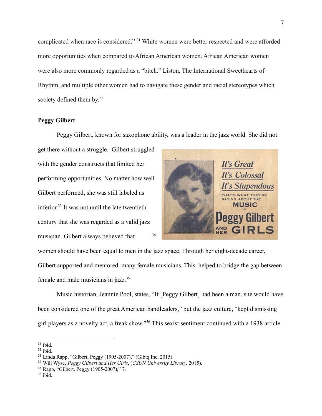complicated when race is considered." <sup>31</sup> White women were better respected and were afforded more opportunities when compared to African American women. African American women were also more commonly regarded as a "bitch." Liston, The International Sweethearts of Rhythm, and multiple other women had to navigate these gender and racial stereotypes which society defined them by.<sup>32</sup>

#### **Peggy Gilbert**

Peggy Gilbert, known for saxophone ability, was a leader in the jazz world. She did not

get there without a struggle. Gilbert struggled with the gender constructs that limited her performing opportunities. No matter how well Gilbert performed, she was still labeled as inferior. 33 It was not until the late twentieth century that she was regarded as a valid jazz musician. Gilbert always believed that <sup>34</sup>



women should have been equal to men in the jazz space. Through her eight-decade career, Gilbert supported and mentored many female musicians. This helped to bridge the gap between female and male musicians in jazz.<sup>35</sup>

Music historian, Jeannie Pool, states, "If [Peggy Gilbert] had been a man, she would have been considered one of the great American bandleaders," but the jazz culture, "kept dismissing girl players as a novelty act, a freak show."<sup>36</sup> This sexist sentiment continued with a 1938 article

 $31$  ibid.

 $32$  ibid.

<sup>33</sup> Linda Rapp, "Gilbert, Peggy (1905-2007)," (Glbtq Inc, 2015).

<sup>34</sup> Will Wyse, *Peggy Gilbert and Her Girls*, (*CSUN University Library,* 2015).

<sup>35</sup> Rapp, "Gilbert, Peggy (1905-2007)," 7.

 $36$  ibid.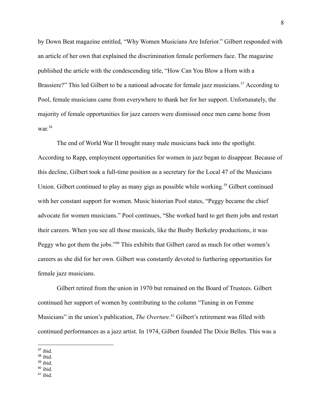by Down Beat magazine entitled, "Why Women Musicians Are Inferior." Gilbert responded with an article of her own that explained the discrimination female performers face. The magazine published the article with the condescending title, "How Can You Blow a Horn with a Brassiere?" This led Gilbert to be a national advocate for female jazz musicians.<sup>37</sup> According to Pool, female musicians came from everywhere to thank her for her support. Unfortunately, the majority of female opportunities for jazz careers were dismissed once men came home from war. 38

The end of World War II brought many male musicians back into the spotlight. According to Rapp, employment opportunities for women in jazz began to disappear. Because of this decline, Gilbert took a full-time position as a secretary for the Local 47 of the Musicians Union. Gilbert continued to play as many gigs as possible while working.<sup>39</sup> Gilbert continued with her constant support for women. Music historian Pool states, "Peggy became the chief advocate for women musicians." Pool continues, "She worked hard to get them jobs and restart their careers. When you see all those musicals, like the Busby Berkeley productions, it was Peggy who got them the jobs."<sup>40</sup> This exhibits that Gilbert cared as much for other women's careers as she did for her own. Gilbert was constantly devoted to furthering opportunities for female jazz musicians.

Gilbert retired from the union in 1970 but remained on the Board of Trustees. Gilbert continued her support of women by contributing to the column "Tuning in on Femme Musicians" in the union's publication, *The Overture*. <sup>41</sup> Gilbert's retirement was filled with continued performances as a jazz artist. In 1974, Gilbert founded The Dixie Belles. This was a

<sup>38</sup> ibid.

 $37$  ibid.

 $39$  ibid.

 $40$  ibid.

<sup>41</sup> ibid.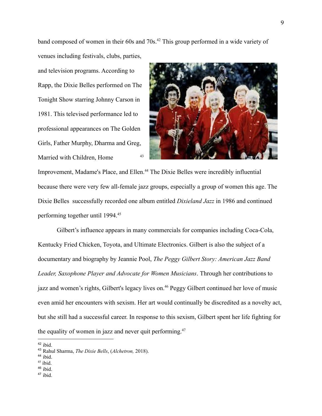band composed of women in their 60s and 70s.<sup>42</sup> This group performed in a wide variety of

venues including festivals, clubs, parties, and television programs. According to Rapp, the Dixie Belles performed on The Tonight Show starring Johnny Carson in 1981. This televised performance led to professional appearances on The Golden Girls, Father Murphy, Dharma and Greg, Married with Children, Home 43



Improvement, Madame's Place, and Ellen.<sup>44</sup> The Dixie Belles were incredibly influential because there were very few all-female jazz groups, especially a group of women this age. The Dixie Belles successfully recorded one album entitled *Dixieland Jazz* in 1986 and continued performing together until 1994.<sup>45</sup>

Gilbert's influence appears in many commercials for companies including Coca-Cola, Kentucky Fried Chicken, Toyota, and Ultimate Electronics. Gilbert is also the subject of a documentary and biography by Jeannie Pool, *The Peggy Gilbert Story: American Jazz Band Leader, Saxophone Player and Advocate for Women Musicians*. Through her contributions to jazz and women's rights, Gilbert's legacy lives on.<sup>46</sup> Peggy Gilbert continued her love of music even amid her encounters with sexism. Her art would continually be discredited as a novelty act, but she still had a successful career. In response to this sexism, Gilbert spent her life fighting for the equality of women in jazz and never quit performing. $47$ 

 $42$  ibid.

- $44$  ibid.
- $45$  ibid.
- <sup>46</sup> ibid.
- <sup>47</sup> ibid.

<sup>43</sup> Rahul Sharma, *The Dixie Bells*, (*Alchetron,* 2018).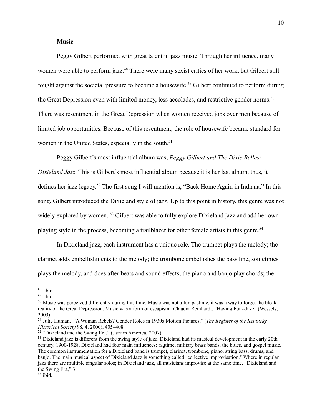#### **Music**

Peggy Gilbert performed with great talent in jazz music. Through her influence, many women were able to perform jazz.<sup>48</sup> There were many sexist critics of her work, but Gilbert still fought against the societal pressure to become a housewife.<sup>49</sup> Gilbert continued to perform during the Great Depression even with limited money, less accolades, and restrictive gender norms.<sup>50</sup> There was resentment in the Great Depression when women received jobs over men because of limited job opportunities. Because of this resentment, the role of housewife became standard for women in the United States, especially in the south.<sup>51</sup>

Peggy Gilbert's most influential album was, *Peggy Gilbert and The Dixie Belles:*

*Dixieland Jazz*. This is Gilbert's most influential album because it is her last album, thus, it defines her jazz legacy. <sup>52</sup> The first song I will mention is, "Back Home Again in Indiana." In this song, Gilbert introduced the Dixieland style of jazz. Up to this point in history, this genre was not widely explored by women. <sup>53</sup> Gilbert was able to fully explore Dixieland jazz and add her own playing style in the process, becoming a trailblazer for other female artists in this genre.<sup>54</sup>

In Dixieland jazz, each instrument has a unique role. The trumpet plays the melody; the clarinet adds embellishments to the melody; the trombone embellishes the bass line, sometimes plays the melody, and does after beats and sound effects; the piano and banjo play chords; the

<sup>48</sup> ibid.

<sup>49</sup> ibid.

<sup>&</sup>lt;sup>50</sup> Music was perceived differently during this time. Music was not a fun pastime, it was a way to forget the bleak reality of the Great Depression. Music was a form of escapism. Claudia Reinhardt, "Having Fun--Jazz" (Wessels, 2003).

<sup>51</sup> Julie Human, "A Woman Rebels? Gender Roles in 1930s Motion Pictures," (*The Register of the Kentucky Historical Society* 98, 4, 2000), 405–408.

<sup>52</sup> "Dixieland and the Swing Era," (Jazz in America, 2007).

<sup>&</sup>lt;sup>53</sup> Dixieland jazz is different from the swing style of jazz. Dixieland had its musical development in the early 20th century, 1900-1928. Dixieland had four main influences: ragtime, military brass bands, the blues, and gospel music. The common instrumentation for a Dixieland band is trumpet, clarinet, trombone, piano, string bass, drums, and banjo. The main musical aspect of Dixieland Jazz is something called "collective improvisation." Where in regular jazz there are multiple singular solos; in Dixieland jazz, all musicians improvise at the same time. "Dixieland and the Swing Era," 3.

<sup>54</sup> ibid.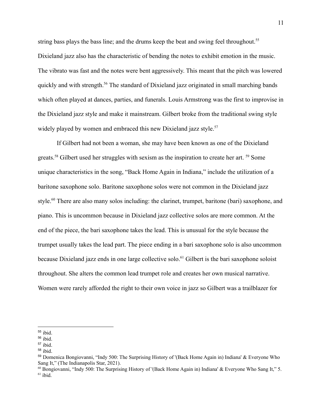string bass plays the bass line; and the drums keep the beat and swing feel throughout.<sup>55</sup> Dixieland jazz also has the characteristic of bending the notes to exhibit emotion in the music. The vibrato was fast and the notes were bent aggressively. This meant that the pitch was lowered quickly and with strength.<sup>56</sup> The standard of Dixieland jazz originated in small marching bands which often played at dances, parties, and funerals. Louis Armstrong was the first to improvise in the Dixieland jazz style and make it mainstream. Gilbert broke from the traditional swing style widely played by women and embraced this new Dixieland jazz style.<sup>57</sup>

If Gilbert had not been a woman, she may have been known as one of the Dixieland greats.<sup>58</sup> Gilbert used her struggles with sexism as the inspiration to create her art.<sup>59</sup> Some unique characteristics in the song, "Back Home Again in Indiana," include the utilization of a baritone saxophone solo. Baritone saxophone solos were not common in the Dixieland jazz style.<sup>60</sup> There are also many solos including: the clarinet, trumpet, baritone (bari) saxophone, and piano. This is uncommon because in Dixieland jazz collective solos are more common. At the end of the piece, the bari saxophone takes the lead. This is unusual for the style because the trumpet usually takes the lead part. The piece ending in a bari saxophone solo is also uncommon because Dixieland jazz ends in one large collective solo.<sup>61</sup> Gilbert is the bari saxophone soloist throughout. She alters the common lead trumpet role and creates her own musical narrative. Women were rarely afforded the right to their own voice in jazz so Gilbert was a trailblazer for

<sup>55</sup> ibid.

<sup>56</sup> ibid.

<sup>57</sup> ibid.

 $58$  ibid.

<sup>59</sup> Domenica Bongiovanni, "Indy 500: The Surprising History of '(Back Home Again in) Indiana' & Everyone Who Sang It," (The Indianapolis Star, 2021).

 $61$  ibid. <sup>60</sup> Bongiovanni, "Indy 500: The Surprising History of '(Back Home Again in) Indiana' & Everyone Who Sang It," 5.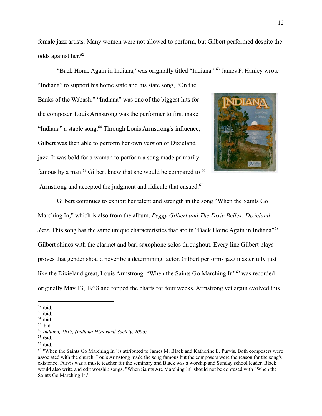female jazz artists. Many women were not allowed to perform, but Gilbert performed despite the odds against her. 62

"Back Home Again in Indiana,"was originally titled "Indiana." <sup>63</sup> James F. Hanley wrote "Indiana" to support his home state and his state song, "On the Banks of the Wabash." "Indiana" was one of the biggest hits for the composer. Louis Armstrong was the performer to first make "Indiana" a staple song.<sup>64</sup> Through Louis Armstrong's influence, Gilbert was then able to perform her own version of Dixieland jazz. It was bold for a woman to perform a song made primarily famous by a man.<sup>65</sup> Gilbert knew that she would be compared to  $66$ Armstrong and accepted the judgment and ridicule that ensued.<sup>67</sup>

Gilbert continues to exhibit her talent and strength in the song "When the Saints Go Marching In," which is also from the album, *Peggy Gilbert and The Dixie Belles: Dixieland Jazz*. This song has the same unique characteristics that are in "Back Home Again in Indiana"<sup>68</sup> Gilbert shines with the clarinet and bari saxophone solos throughout. Every line Gilbert plays proves that gender should never be a determining factor. Gilbert performs jazz masterfully just like the Dixieland great, Louis Armstrong. "When the Saints Go Marching In"<sup>69</sup> was recorded originally May 13, 1938 and topped the charts for four weeks. Armstrong yet again evolved this

 $62$  ibid.

 $63$  ibid.

 $64$  ibid.

 $65$  ibid.

<sup>66</sup> *Indiana, 1917, (Indiana Historical Society, 2006)*.

 $67$  ibid.

 $68$  ibid.

 $69$  "When the Saints Go Marching In" is attributed to James M. Black and Katherine E. Purvis. Both composers were associated with the church. Louis Armstong made the song famous but the composers were the reason for the song's existence. Purvis was a music teacher for the seminary and Black was a worship and Sunday school leader. Black would also write and edit worship songs. "When Saints Are Marching In" should not be confused with "When the Saints Go Marching In."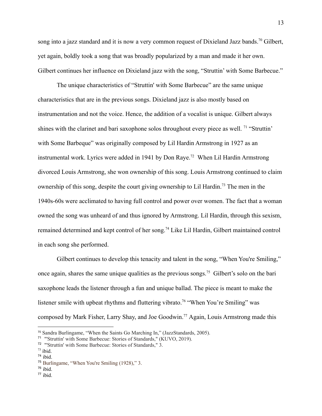song into a jazz standard and it is now a very common request of Dixieland Jazz bands.<sup>70</sup> Gilbert, yet again, boldly took a song that was broadly popularized by a man and made it her own. Gilbert continues her influence on Dixieland jazz with the song, "Struttin' with Some Barbecue."

The unique characteristics of "Struttin' with Some Barbecue" are the same unique characteristics that are in the previous songs. Dixieland jazz is also mostly based on instrumentation and not the voice. Hence, the addition of a vocalist is unique. Gilbert always shines with the clarinet and bari saxophone solos throughout every piece as well. <sup>71</sup> "Struttin" with Some Barbeque" was originally composed by Lil Hardin Armstrong in 1927 as an instrumental work. Lyrics were added in 1941 by Don Raye.<sup>72</sup> When Lil Hardin Armstrong divorced Louis Armstrong, she won ownership of this song. Louis Armstrong continued to claim ownership of this song, despite the court giving ownership to Lil Hardin.<sup>73</sup> The men in the 1940s-60s were acclimated to having full control and power over women. The fact that a woman owned the song was unheard of and thus ignored by Armstrong. Lil Hardin, through this sexism, remained determined and kept control of her song.<sup>74</sup> Like Lil Hardin, Gilbert maintained control in each song she performed.

Gilbert continues to develop this tenacity and talent in the song, "When You're Smiling," once again, shares the same unique qualities as the previous songs.<sup>75</sup> Gilbert's solo on the bari saxophone leads the listener through a fun and unique ballad. The piece is meant to make the listener smile with upbeat rhythms and fluttering vibrato.<sup>76</sup> "When You're Smiling" was composed by Mark Fisher, Larry Shay, and Joe Goodwin.<sup>77</sup> Again, Louis Armstrong made this

- $76$  ibid.
- $77$  ibid.

<sup>70</sup> Sandra Burlingame, "When the Saints Go Marching In," (JazzStandards, 2005).

<sup>71</sup> "'Struttin' with Some Barbecue: Stories of Standards," (KUVO, 2019).

<sup>72</sup> "'Struttin' with Some Barbecue: Stories of Standards," 3.

 $73$  ibid.

<sup>74</sup> ibid.

<sup>75</sup> Burlingame, "When You're Smiling (1928)," 3.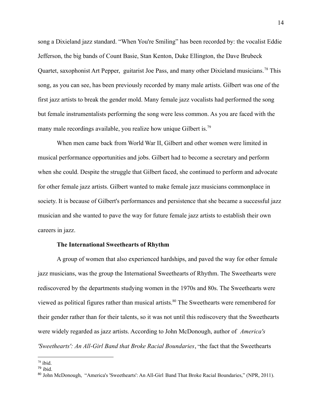song a Dixieland jazz standard. "When You're Smiling" has been recorded by: the vocalist Eddie Jefferson, the big bands of Count Basie, Stan Kenton, Duke Ellington, the Dave Brubeck Quartet, saxophonist Art Pepper, guitarist Joe Pass, and many other Dixieland musicians.<sup>78</sup> This song, as you can see, has been previously recorded by many male artists. Gilbert was one of the first jazz artists to break the gender mold. Many female jazz vocalists had performed the song but female instrumentalists performing the song were less common. As you are faced with the many male recordings available, you realize how unique Gilbert is.<sup>79</sup>

When men came back from World War II, Gilbert and other women were limited in musical performance opportunities and jobs. Gilbert had to become a secretary and perform when she could. Despite the struggle that Gilbert faced, she continued to perform and advocate for other female jazz artists. Gilbert wanted to make female jazz musicians commonplace in society. It is because of Gilbert's performances and persistence that she became a successful jazz musician and she wanted to pave the way for future female jazz artists to establish their own careers in jazz.

#### **The International Sweethearts of Rhythm**

A group of women that also experienced hardships, and paved the way for other female jazz musicians, was the group the International Sweethearts of Rhythm. The Sweethearts were rediscovered by the departments studying women in the 1970s and 80s. The Sweethearts were viewed as political figures rather than musical artists.<sup>80</sup> The Sweethearts were remembered for their gender rather than for their talents, so it was not until this rediscovery that the Sweethearts were widely regarded as jazz artists. According to John McDonough, author of *America's 'Sweethearts': An All-Girl Band that Broke Racial Boundaries*, "the fact that the Sweethearts

 $78$  ibid.

<sup>79</sup> ibid.

<sup>80</sup> John McDonough, "America's 'Sweethearts': An All-Girl Band That Broke Racial Boundaries," (NPR, 2011).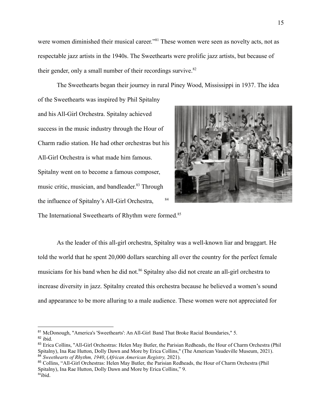were women diminished their musical career."<sup>81</sup> These women were seen as novelty acts, not as respectable jazz artists in the 1940s. The Sweethearts were prolific jazz artists, but because of their gender, only a small number of their recordings survive. $82$ 

The Sweethearts began their journey in rural Piney Wood, Mississippi in 1937. The idea of the Sweethearts was inspired by Phil Spitalny

and his All-Girl Orchestra. Spitalny achieved success in the music industry through the Hour of Charm radio station. He had other orchestras but his All-Girl Orchestra is what made him famous. Spitalny went on to become a famous composer, music critic, musician, and bandleader. <sup>83</sup> Through the influence of Spitalny's All-Girl Orchestra,



The International Sweethearts of Rhythm were formed.<sup>85</sup>

As the leader of this all-girl orchestra, Spitalny was a well-known liar and braggart. He told the world that he spent 20,000 dollars searching all over the country for the perfect female musicians for his band when he did not.<sup>86</sup> Spitalny also did not create an all-girl orchestra to increase diversity in jazz. Spitalny created this orchestra because he believed a women's sound and appearance to be more alluring to a male audience. These women were not appreciated for

 $82$  ibid. <sup>81</sup> McDonough, "America's 'Sweethearts': An All-Girl Band That Broke Racial Boundaries," 5.

<sup>84</sup> *Sweethearts of Rhythm, 1940*, (*African American Registry,* 2021). <sup>83</sup> Erica Collins, "All-Girl Orchestras: Helen May Butler, the Parisian Redheads, the Hour of Charm Orchestra (Phil Spitalny), Ina Rae Hutton, Dolly Dawn and More by Erica Collins," (The American Vaudeville Museum, 2021).

<sup>86</sup>ibid. <sup>85</sup> Collins, "All-Girl Orchestras: Helen May Butler, the Parisian Redheads, the Hour of Charm Orchestra (Phil Spitalny), Ina Rae Hutton, Dolly Dawn and More by Erica Collins," 9.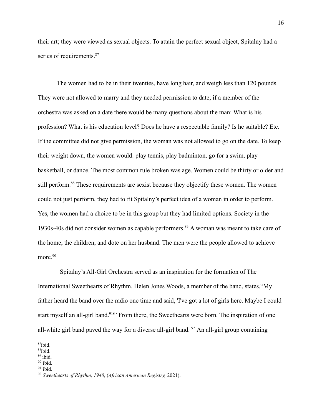their art; they were viewed as sexual objects. To attain the perfect sexual object, Spitalny had a series of requirements.<sup>87</sup>

The women had to be in their twenties, have long hair, and weigh less than 120 pounds. They were not allowed to marry and they needed permission to date; if a member of the orchestra was asked on a date there would be many questions about the man: What is his profession? What is his education level? Does he have a respectable family? Is he suitable? Etc. If the committee did not give permission, the woman was not allowed to go on the date. To keep their weight down, the women would: play tennis, play badminton, go for a swim, play basketball, or dance. The most common rule broken was age. Women could be thirty or older and still perform.<sup>88</sup> These requirements are sexist because they objectify these women. The women could not just perform, they had to fit Spitalny's perfect idea of a woman in order to perform. Yes, the women had a choice to be in this group but they had limited options. Society in the 1930s-40s did not consider women as capable performers.<sup>89</sup> A woman was meant to take care of the home, the children, and dote on her husband. The men were the people allowed to achieve more<sup>90</sup>

Spitalny's All-Girl Orchestra served as an inspiration for the formation of The International Sweethearts of Rhythm. Helen Jones Woods, a member of the band, states,"My father heard the band over the radio one time and said, 'I've got a lot of girls here. Maybe I could start myself an all-girl band.<sup>91</sup><sup>1</sup> From there, the Sweethearts were born. The inspiration of one all-white girl band paved the way for a diverse all-girl band.  $92$  An all-girl group containing

 $90$  ibid.

 $87$ ibid.

<sup>88</sup>ibid.

<sup>89</sup> ibid.

 $91$  ibid.

<sup>92</sup> *Sweethearts of Rhythm, 1940*, (*African American Registry,* 2021).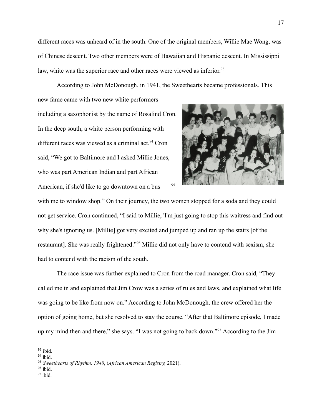different races was unheard of in the south. One of the original members, Willie Mae Wong, was of Chinese descent. Two other members were of Hawaiian and Hispanic descent. In Mississippi law, white was the superior race and other races were viewed as inferior.<sup>93</sup>

According to John McDonough, in 1941, the Sweethearts became professionals. This new fame came with two new white performers including a saxophonist by the name of Rosalind Cron.

In the deep south, a white person performing with different races was viewed as a criminal act.<sup>94</sup> Cron said, "We got to Baltimore and I asked Millie Jones, who was part American Indian and part African American, if she'd like to go downtown on a bus  $^{95}$ 



with me to window shop." On their journey, the two women stopped for a soda and they could not get service. Cron continued, "I said to Millie, 'I'm just going to stop this waitress and find out why she's ignoring us. [Millie] got very excited and jumped up and ran up the stairs [of the restaurant]. She was really frightened."<sup>96</sup> Millie did not only have to contend with sexism, she had to contend with the racism of the south.

The race issue was further explained to Cron from the road manager. Cron said, "They called me in and explained that Jim Crow was a series of rules and laws, and explained what life was going to be like from now on." According to John McDonough, the crew offered her the option of going home, but she resolved to stay the course. "After that Baltimore episode, I made up my mind then and there," she says. "I was not going to back down."<sup>97</sup> According to the Jim

 $93$  ibid.

<sup>94</sup> ibid.

<sup>95</sup> *Sweethearts of Rhythm, 1940*, (*African American Registry,* 2021).

<sup>96</sup> ibid.

 $97$  ibid.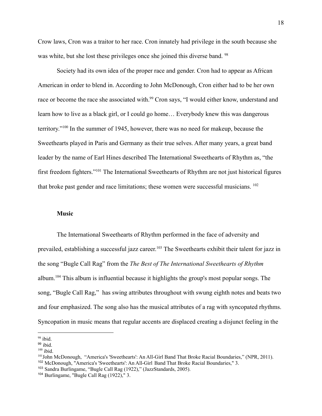Crow laws, Cron was a traitor to her race. Cron innately had privilege in the south because she was white, but she lost these privileges once she joined this diverse band. <sup>98</sup>

Society had its own idea of the proper race and gender. Cron had to appear as African American in order to blend in. According to John McDonough, Cron either had to be her own race or become the race she associated with.<sup>99</sup> Cron says, "I would either know, understand and learn how to live as a black girl, or I could go home… Everybody knew this was dangerous territory."<sup>100</sup> In the summer of 1945, however, there was no need for makeup, because the Sweethearts played in Paris and Germany as their true selves. After many years, a great band leader by the name of Earl Hines described The International Sweethearts of Rhythm as, "the first freedom fighters."<sup>101</sup> The International Sweethearts of Rhythm are not just historical figures that broke past gender and race limitations; these women were successful musicians. <sup>102</sup>

#### **Music**

The International Sweethearts of Rhythm performed in the face of adversity and prevailed, establishing a successful jazz career.<sup>103</sup> The Sweethearts exhibit their talent for jazz in the song "Bugle Call Rag" from the *The Best of The International Sweethearts of Rhythm* album.<sup>104</sup> This album is influential because it highlights the group's most popular songs. The song, "Bugle Call Rag," has swing attributes throughout with swung eighth notes and beats two and four emphasized. The song also has the musical attributes of a rag with syncopated rhythms. Syncopation in music means that regular accents are displaced creating a disjunct feeling in the

 $98$  ibid.

 $99$  ibid.

 $100$  ibid.

<sup>102</sup> McDonough, "America's 'Sweethearts': An All-Girl Band That Broke Racial Boundaries," 3. <sup>101</sup>John McDonough, "America's 'Sweethearts': An All-Girl Band That Broke Racial Boundaries," (NPR, 2011).

<sup>&</sup>lt;sup>103</sup> Sandra Burlingame, "Bugle Call Rag (1922)," (JazzStandards, 2005).

<sup>104</sup> Burlingame, "Bugle Call Rag (1922)," 3.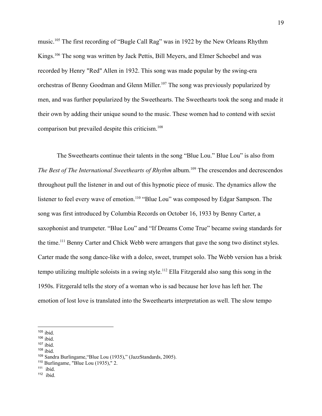music.<sup>105</sup> The first recording of "Bugle Call Rag" was in 1922 by the New Orleans Rhythm Kings.<sup>106</sup> The song was written by Jack Pettis, Bill Meyers, and Elmer Schoebel and was recorded by Henry "Red" Allen in 1932. This song was made popular by the swing-era orchestras of Benny Goodman and Glenn Miller. <sup>107</sup> The song was previously popularized by men, and was further popularized by the Sweethearts. The Sweethearts took the song and made it their own by adding their unique sound to the music. These women had to contend with sexist comparison but prevailed despite this criticism.<sup>108</sup>

The Sweethearts continue their talents in the song "Blue Lou." Blue Lou" is also from *The Best of The International Sweethearts of Rhythm* album.<sup>109</sup> The crescendos and decrescendos throughout pull the listener in and out of this hypnotic piece of music. The dynamics allow the listener to feel every wave of emotion.<sup>110</sup> "Blue Lou" was composed by Edgar Sampson. The song was first introduced by Columbia Records on October 16, 1933 by Benny Carter, a saxophonist and trumpeter. "Blue Lou" and "If Dreams Come True" became swing standards for the time.<sup>111</sup> Benny Carter and Chick Webb were arrangers that gave the song two distinct styles. Carter made the song dance-like with a dolce, sweet, trumpet solo. The Webb version has a brisk tempo utilizing multiple soloists in a swing style.<sup>112</sup> Ella Fitzgerald also sang this song in the 1950s. Fitzgerald tells the story of a woman who is sad because her love has left her. The emotion of lost love is translated into the Sweethearts interpretation as well. The slow tempo

<sup>108</sup> ibid.

 $110$  Burlingame, "Blue Lou  $(1935)$ ," 2.

 $105$  ibid.

 $106$  ibid.

 $107$  ibid.

<sup>109</sup> Sandra Burlingame,"Blue Lou (1935)," (JazzStandards, 2005).

 $111$  ibid.

 $112$  ibid.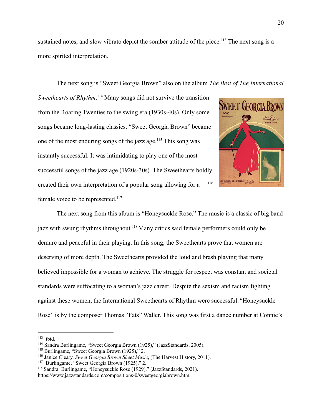sustained notes, and slow vibrato depict the somber attitude of the piece.<sup>113</sup> The next song is a more spirited interpretation.

The next song is "Sweet Georgia Brown" also on the album *The Best of The International*

*Sweethearts of Rhythm*. <sup>114</sup> Many songs did not survive the transition from the Roaring Twenties to the swing era (1930s-40s). Only some songs became long-lasting classics. "Sweet Georgia Brown" became one of the most enduring songs of the jazz age.<sup>115</sup> This song was instantly successful. It was intimidating to play one of the most successful songs of the jazz age (1920s-30s). The Sweethearts boldly created their own interpretation of a popular song allowing for a <sup>116</sup> female voice to be represented.<sup>117</sup>



The next song from this album is "Honeysuckle Rose." The music is a classic of big band jazz with swung rhythms throughout.<sup>118</sup> Many critics said female performers could only be demure and peaceful in their playing. In this song, the Sweethearts prove that women are deserving of more depth. The Sweethearts provided the loud and brash playing that many believed impossible for a woman to achieve. The struggle for respect was constant and societal standards were suffocating to a woman's jazz career. Despite the sexism and racism fighting against these women, the International Sweethearts of Rhythm were successful. "Honeysuckle Rose" is by the composer Thomas "Fats" Waller. This song was first a dance number at Connie's

 $113$  ibid.

<sup>114</sup> Sandra Burlingame, "Sweet Georgia Brown (1925)," (JazzStandards, 2005).

<sup>115</sup> Burlingame, "Sweet Georgia Brown (1925)," 2.

<sup>116</sup> Janice Cleary, *Sweet Georgia Brown Sheet Music*, (The Harvest History, 2011).

<sup>117</sup> Burlingame, "Sweet Georgia Brown (1925)," 2.

<sup>118</sup> Sandra Burlingame, "Honeysuckle Rose (1929)," (JazzStandards, 2021). https://www.jazzstandards.com/compositions-0/sweetgeorgiabrown.htm.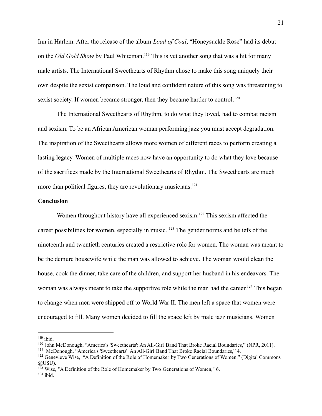Inn in Harlem. After the release of the album *Load of Coal*, "Honeysuckle Rose" had its debut on the *Old Gold Show* by Paul Whiteman.<sup>119</sup> This is yet another song that was a hit for many male artists. The International Sweethearts of Rhythm chose to make this song uniquely their own despite the sexist comparison. The loud and confident nature of this song was threatening to sexist society. If women became stronger, then they became harder to control.<sup>120</sup>

The International Sweethearts of Rhythm, to do what they loved, had to combat racism and sexism. To be an African American woman performing jazz you must accept degradation. The inspiration of the Sweethearts allows more women of different races to perform creating a lasting legacy. Women of multiple races now have an opportunity to do what they love because of the sacrifices made by the International Sweethearts of Rhythm. The Sweethearts are much more than political figures, they are revolutionary musicians.<sup>121</sup>

#### **Conclusion**

Women throughout history have all experienced sexism.<sup>122</sup> This sexism affected the career possibilities for women, especially in music. <sup>123</sup> The gender norms and beliefs of the nineteenth and twentieth centuries created a restrictive role for women. The woman was meant to be the demure housewife while the man was allowed to achieve. The woman would clean the house, cook the dinner, take care of the children, and support her husband in his endeavors. The woman was always meant to take the supportive role while the man had the career.<sup>124</sup> This began to change when men were shipped off to World War II. The men left a space that women were encouraged to fill. Many women decided to fill the space left by male jazz musicians. Women

 $119$  ibid.

<sup>120</sup> John McDonough, "America's 'Sweethearts': An All-Girl Band That Broke Racial Boundaries," (NPR, 2011).

<sup>&</sup>lt;sup>121</sup> McDonough, "America's 'Sweethearts': An All-Girl Band That Broke Racial Boundaries," 4.

<sup>&</sup>lt;sup>122</sup> Genevieve Wise, "A Definition of the Role of Homemaker by Two Generations of Women," (Digital Commons @USU).

<sup>123</sup> Wise, "A Definition of the Role of Homemaker by Two Generations of Women," 6.

 $124$  ibid.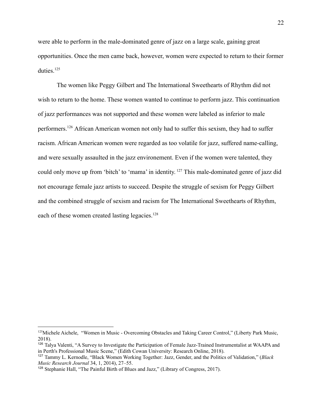were able to perform in the male-dominated genre of jazz on a large scale, gaining great opportunities. Once the men came back, however, women were expected to return to their former duties.<sup>125</sup>

The women like Peggy Gilbert and The International Sweethearts of Rhythm did not wish to return to the home. These women wanted to continue to perform jazz. This continuation of jazz performances was not supported and these women were labeled as inferior to male performers.<sup>126</sup> African American women not only had to suffer this sexism, they had to suffer racism. African American women were regarded as too volatile for jazz, suffered name-calling, and were sexually assaulted in the jazz environement. Even if the women were talented, they could only move up from 'bitch' to 'mama' in identity. <sup>127</sup> This male-dominated genre of jazz did not encourage female jazz artists to succeed. Despite the struggle of sexism for Peggy Gilbert and the combined struggle of sexism and racism for The International Sweethearts of Rhythm, each of these women created lasting legacies.<sup>128</sup>

<sup>&</sup>lt;sup>125</sup>Michele Aichele, "Women in Music - Overcoming Obstacles and Taking Career Control," (Liberty Park Music, 2018).

<sup>126</sup> Talya Valenti, "A Survey to Investigate the Participation of Female Jazz-Trained Instrumentalist at WAAPA and in Perth's Professional Music Scene," (Edith Cowan University: Research Online, 2018).

<sup>127</sup> Tammy L. Kernodle, "Black Women Working Together: Jazz, Gender, and the Politics of Validation," (*Black Music Research Journal* 34, 1, 2014), 27–55.

<sup>128</sup> Stephanie Hall, "The Painful Birth of Blues and Jazz," (Library of Congress, 2017).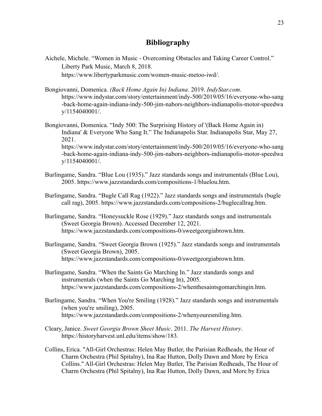### **Bibliography**

- Aichele, Michele. "Women in Music Overcoming Obstacles and Taking Career Control." Liberty Park Music, March 8, 2018. https://www.libertyparkmusic.com/women-music-metoo-iwd/.
- Bongiovanni, Domenica. *(Back Home Again In) Indiana*. 2019. *IndyStar.com*. https://www.indystar.com/story/entertainment/indy-500/2019/05/16/everyone-who-sang -back-home-again-indiana-indy-500-jim-nabors-neighbors-indianapolis-motor-speedwa y/1154040001/.
- Bongiovanni, Domenica. "Indy 500: The Surprising History of '(Back Home Again in) Indiana' & Everyone Who Sang It." The Indianapolis Star. Indianapolis Star, May 27, 2021. https://www.indystar.com/story/entertainment/indy-500/2019/05/16/everyone-who-sang -back-home-again-indiana-indy-500-jim-nabors-neighbors-indianapolis-motor-speedwa y/1154040001/.
- Burlingame, Sandra. "Blue Lou (1935)." Jazz standards songs and instrumentals (Blue Lou), 2005. https://www.jazzstandards.com/compositions-1/bluelou.htm.
- Burlingame, Sandra. "Bugle Call Rag (1922)." Jazz standards songs and instrumentals (bugle call rag), 2005. https://www.jazzstandards.com/compositions-2/buglecallrag.htm.
- Burlingame, Sandra. "Honeysuckle Rose (1929)." Jazz standards songs and instrumentals (Sweet Georgia Brown). Accessed December 12, 2021. https://www.jazzstandards.com/compositions-0/sweetgeorgiabrown.htm.
- Burlingame, Sandra. "Sweet Georgia Brown (1925)." Jazz standards songs and instrumentals (Sweet Georgia Brown), 2005. https://www.jazzstandards.com/compositions-0/sweetgeorgiabrown.htm.
- Burlingame, Sandra. "When the Saints Go Marching In." Jazz standards songs and instrumentals (when the Saints Go Marching In), 2005. https://www.jazzstandards.com/compositions-2/whenthesaintsgomarchingin.htm.
- Burlingame, Sandra. "When You're Smiling (1928)." Jazz standards songs and instrumentals (when you're smiling), 2005. https://www.jazzstandards.com/compositions-2/whenyouresmiling.htm.
- Cleary, Janice. *Sweet Georgia Brown Sheet Music*. 2011. *The Harvest History*. https://historyharvest.unl.edu/items/show/183.
- Collins, Erica. "All-Girl Orchestras: Helen May Butler, the Parisian Redheads, the Hour of Charm Orchestra (Phil Spitalny), Ina Rae Hutton, Dolly Dawn and More by Erica Collins." All-Girl Orchestras: Helen May Butler, The Parisian Redheads, The Hour of Charm Orchestra (Phil Spitalny), Ina Rae Hutton, Dolly Dawn, and More by Erica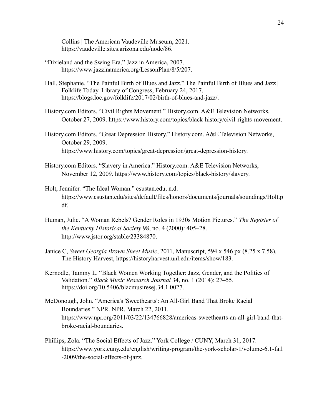Collins | The American Vaudeville Museum, 2021. https://vaudeville.sites.arizona.edu/node/86.

- "Dixieland and the Swing Era." Jazz in America, 2007. https://www.jazzinamerica.org/LessonPlan/8/5/207.
- Hall, Stephanie. "The Painful Birth of Blues and Jazz." The Painful Birth of Blues and Jazz | Folklife Today. Library of Congress, February 24, 2017. https://blogs.loc.gov/folklife/2017/02/birth-of-blues-and-jazz/.
- History.com Editors. "Civil Rights Movement." History.com. A&E Television Networks, October 27, 2009. https://www.history.com/topics/black-history/civil-rights-movement.
- History.com Editors. "Great Depression History." History.com. A&E Television Networks, October 29, 2009. https://www.history.com/topics/great-depression/great-depression-history.
- History.com Editors. "Slavery in America." History.com. A&E Television Networks, November 12, 2009. https://www.history.com/topics/black-history/slavery.
- Holt, Jennifer. "The Ideal Woman." csustan.edu, n.d. https://www.csustan.edu/sites/default/files/honors/documents/journals/soundings/Holt.p df.
- Human, Julie. "A Woman Rebels? Gender Roles in 1930s Motion Pictures." *The Register of the Kentucky Historical Society* 98, no. 4 (2000): 405–28. http://www.jstor.org/stable/23384870.
- Janice C, *Sweet Georgia Brown Sheet Music*, 2011, Manuscript, 594 x 546 px (8.25 x 7.58), The History Harvest, https://historyharvest.unl.edu/items/show/183.
- Kernodle, Tammy L. "Black Women Working Together: Jazz, Gender, and the Politics of Validation." *Black Music Research Journal* 34, no. 1 (2014): 27–55. https://doi.org/10.5406/blacmusiresej.34.1.0027.
- McDonough, John. "America's 'Sweethearts': An All-Girl Band That Broke Racial Boundaries." NPR. NPR, March 22, 2011. https://www.npr.org/2011/03/22/134766828/americas-sweethearts-an-all-girl-band-thatbroke-racial-boundaries.
- Phillips, Zola. "The Social Effects of Jazz." York College / CUNY, March 31, 2017. https://www.york.cuny.edu/english/writing-program/the-york-scholar-1/volume-6.1-fall -2009/the-social-effects-of-jazz.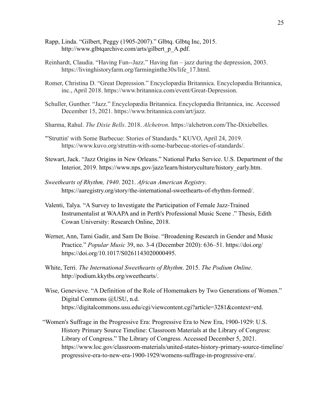- Rapp, Linda. "Gilbert, Peggy (1905-2007)." Glbtq. Glbtq Inc, 2015. http://www.glbtqarchive.com/arts/gilbert\_p\_A.pdf.
- Reinhardt, Claudia. "Having Fun--Jazz." Having fun jazz during the depression, 2003. https://livinghistoryfarm.org/farminginthe30s/life\_17.html.
- Romer, Christina D. "Great Depression." Encyclopædia Britannica. Encyclopædia Britannica, inc., April 2018. https://www.britannica.com/event/Great-Depression.
- Schuller, Gunther. "Jazz." Encyclopædia Britannica. Encyclopædia Britannica, inc. Accessed December 15, 2021. https://www.britannica.com/art/jazz.
- Sharma, Rahul. *The Dixie Bells*. 2018. *Alchetron*. https://alchetron.com/The-Dixiebelles.
- "'Struttin' with Some Barbecue: Stories of Standards." KUVO, April 24, 2019. https://www.kuvo.org/struttin-with-some-barbecue-stories-of-standards/.
- Stewart, Jack. "Jazz Origins in New Orleans." National Parks Service. U.S. Department of the Interior, 2019. https://www.nps.gov/jazz/learn/historyculture/history\_early.htm.
- *Sweethearts of Rhythm, 1940*. 2021. *African American Registry*. https://aaregistry.org/story/the-international-sweethearts-of-rhythm-formed/.
- Valenti, Talya. "A Survey to Investigate the Participation of Female Jazz-Trained Instrumentalist at WAAPA and in Perth's Professional Music Scene ." Thesis, Edith Cowan University: Research Online, 2018.
- Werner, Ann, Tami Gadir, and Sam De Boise. "Broadening Research in Gender and Music Practice." *Popular Music* 39, no. 3-4 (December 2020): 636–51. https://doi.org/ https://doi.org/10.1017/S0261143020000495.
- White, Terri. *The International Sweethearts of Rhythm*. 2015. *The Podium Online*. http://podium.kkytbs.org/sweethearts/.
- Wise, Genevieve. "A Definition of the Role of Homemakers by Two Generations of Women." Digital Commons @USU, n.d. https://digitalcommons.usu.edu/cgi/viewcontent.cgi?article=3281&context=etd.
- "Women's Suffrage in the Progressive Era: Progressive Era to New Era, 1900-1929: U.S. History Primary Source Timeline: Classroom Materials at the Library of Congress: Library of Congress." The Library of Congress. Accessed December 5, 2021. https://www.loc.gov/classroom-materials/united-states-history-primary-source-timeline/ progressive-era-to-new-era-1900-1929/womens-suffrage-in-progressive-era/.